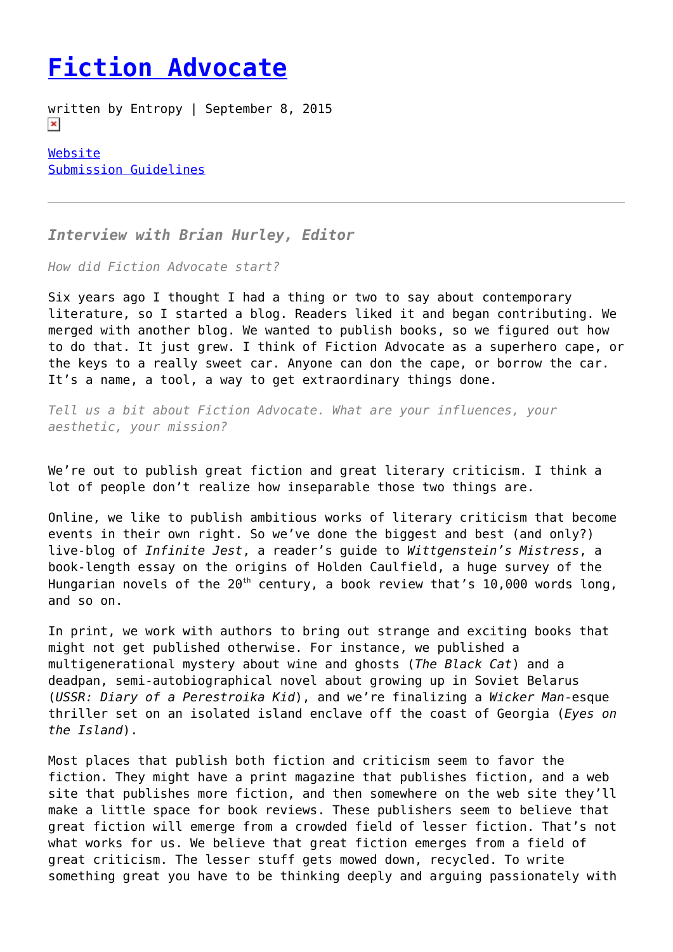## **[Fiction Advocate](https://entropymag.org/fiction-advocate/)**

written by Entropy | September 8, 2015  $\pmb{\times}$ 

[Website](http://fictionadvocate.com/) [Submission Guidelines](http://fictionadvocate.com/submit-3/)

*Interview with Brian Hurley, Editor*

*How did Fiction Advocate start?*

Six years ago I thought I had a thing or two to say about contemporary literature, so I started a blog. Readers liked it and began contributing. We merged with another blog. We wanted to publish books, so we figured out how to do that. It just grew. I think of Fiction Advocate as a superhero cape, or the keys to a really sweet car. Anyone can don the cape, or borrow the car. It's a name, a tool, a way to get extraordinary things done.

*Tell us a bit about Fiction Advocate. What are your influences, your aesthetic, your mission?*

We're out to publish great fiction and great literary criticism. I think a lot of people don't realize how inseparable those two things are.

Online, we like to publish ambitious works of literary criticism that become events in their own right. So we've done the biggest and best (and only?) live-blog of *Infinite Jest*, a reader's guide to *Wittgenstein's Mistress*, a book-length essay on the origins of Holden Caulfield, a huge survey of the Hungarian novels of the  $20^{th}$  century, a book review that's 10,000 words long, and so on.

In print, we work with authors to bring out strange and exciting books that might not get published otherwise. For instance, we published a multigenerational mystery about wine and ghosts (*The Black Cat*) and a deadpan, semi-autobiographical novel about growing up in Soviet Belarus (*USSR: Diary of a Perestroika Kid*), and we're finalizing a *Wicker Man*-esque thriller set on an isolated island enclave off the coast of Georgia (*Eyes on the Island*).

Most places that publish both fiction and criticism seem to favor the fiction. They might have a print magazine that publishes fiction, and a web site that publishes more fiction, and then somewhere on the web site they'll make a little space for book reviews. These publishers seem to believe that great fiction will emerge from a crowded field of lesser fiction. That's not what works for us. We believe that great fiction emerges from a field of great criticism. The lesser stuff gets mowed down, recycled. To write something great you have to be thinking deeply and arguing passionately with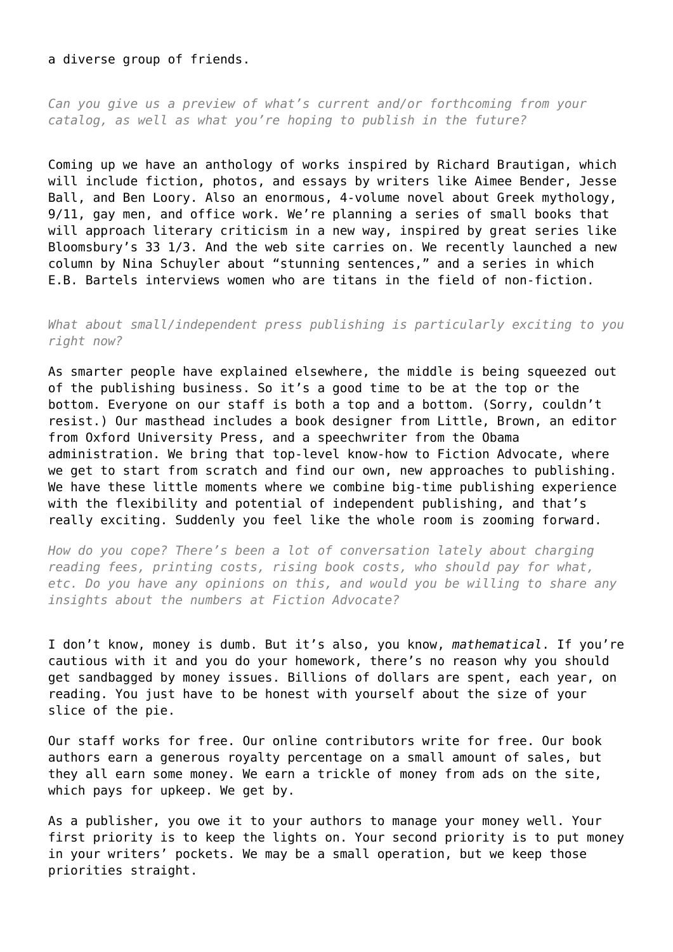## a diverse group of friends.

*Can you give us a preview of what's current and/or forthcoming from your catalog, as well as what you're hoping to publish in the future?*

Coming up we have an anthology of works inspired by Richard Brautigan, which will include fiction, photos, and essays by writers like Aimee Bender, Jesse Ball, and Ben Loory. Also an enormous, 4-volume novel about Greek mythology, 9/11, gay men, and office work. We're planning a series of small books that will approach literary criticism in a new way, inspired by great series like Bloomsbury's 33 1/3. And the web site carries on. We recently launched a new column by Nina Schuyler about "stunning sentences," and a series in which E.B. Bartels interviews women who are titans in the field of non-fiction.

*What about small/independent press publishing is particularly exciting to you right now?*

As smarter people have explained elsewhere, the middle is being squeezed out of the publishing business. So it's a good time to be at the top or the bottom. Everyone on our staff is both a top and a bottom. (Sorry, couldn't resist.) Our masthead includes a book designer from Little, Brown, an editor from Oxford University Press, and a speechwriter from the Obama administration. We bring that top-level know-how to Fiction Advocate, where we get to start from scratch and find our own, new approaches to publishing. We have these little moments where we combine big-time publishing experience with the flexibility and potential of independent publishing, and that's really exciting. Suddenly you feel like the whole room is zooming forward.

*How do you cope? There's been a lot of conversation lately about charging reading fees, printing costs, rising book costs, who should pay for what, etc. Do you have any opinions on this, and would you be willing to share any insights about the numbers at Fiction Advocate?*

I don't know, money is dumb. But it's also, you know, *mathematical*. If you're cautious with it and you do your homework, there's no reason why you should get sandbagged by money issues. Billions of dollars are spent, each year, on reading. You just have to be honest with yourself about the size of your slice of the pie.

Our staff works for free. Our online contributors write for free. Our book authors earn a generous royalty percentage on a small amount of sales, but they all earn some money. We earn a trickle of money from ads on the site, which pays for upkeep. We get by.

As a publisher, you owe it to your authors to manage your money well. Your first priority is to keep the lights on. Your second priority is to put money in your writers' pockets. We may be a small operation, but we keep those priorities straight.